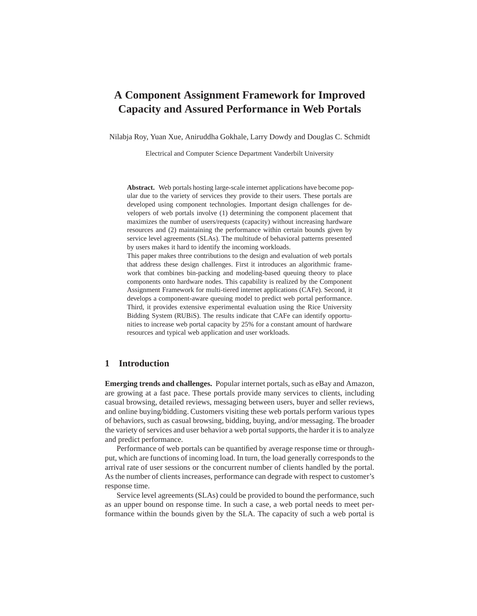# **A Component Assignment Framework for Improved Capacity and Assured Performance in Web Portals**

Nilabja Roy, Yuan Xue, Aniruddha Gokhale, Larry Dowdy and Douglas C. Schmidt

Electrical and Computer Science Department Vanderbilt University

**Abstract.** Web portals hosting large-scale internet applications have become popular due to the variety of services they provide to their users. These portals are developed using component technologies. Important design challenges for developers of web portals involve (1) determining the component placement that maximizes the number of users/requests (capacity) without increasing hardware resources and (2) maintaining the performance within certain bounds given by service level agreements (SLAs). The multitude of behavioral patterns presented by users makes it hard to identify the incoming workloads.

This paper makes three contributions to the design and evaluation of web portals that address these design challenges. First it introduces an algorithmic framework that combines bin-packing and modeling-based queuing theory to place components onto hardware nodes. This capability is realized by the Component Assignment Framework for multi-tiered internet applications (CAFe). Second, it develops a component-aware queuing model to predict web portal performance. Third, it provides extensive experimental evaluation using the Rice University Bidding System (RUBiS). The results indicate that CAFe can identify opportunities to increase web portal capacity by 25% for a constant amount of hardware resources and typical web application and user workloads.

# **1 Introduction**

**Emerging trends and challenges.** Popular internet portals, such as eBay and Amazon, are growing at a fast pace. These portals provide many services to clients, including casual browsing, detailed reviews, messaging between users, buyer and seller reviews, and online buying/bidding. Customers visiting these web portals perform various types of behaviors, such as casual browsing, bidding, buying, and/or messaging. The broader the variety of services and user behavior a web portal supports, the harder it is to analyze and predict performance.

Performance of web portals can be quantified by average response time or throughput, which are functions of incoming load. In turn, the load generally corresponds to the arrival rate of user sessions or the concurrent number of clients handled by the portal. As the number of clients increases, performance can degrade with respect to customer's response time.

Service level agreements (SLAs) could be provided to bound the performance, such as an upper bound on response time. In such a case, a web portal needs to meet performance within the bounds given by the SLA. The capacity of such a web portal is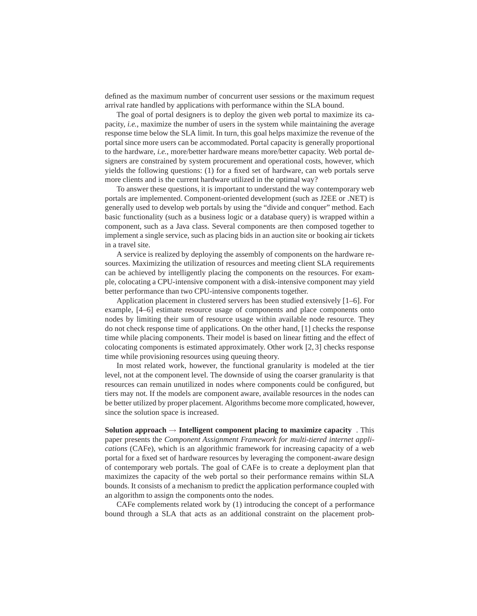defined as the maximum number of concurrent user sessions or the maximum request arrival rate handled by applications with performance within the SLA bound.

The goal of portal designers is to deploy the given web portal to maximize its capacity, *i.e.*, maximize the number of users in the system while maintaining the average response time below the SLA limit. In turn, this goal helps maximize the revenue of the portal since more users can be accommodated. Portal capacity is generally proportional to the hardware, *i.e.*, more/better hardware means more/better capacity. Web portal designers are constrained by system procurement and operational costs, however, which yields the following questions: (1) for a fixed set of hardware, can web portals serve more clients and is the current hardware utilized in the optimal way?

To answer these questions, it is important to understand the way contemporary web portals are implemented. Component-oriented development (such as J2EE or .NET) is generally used to develop web portals by using the "divide and conquer" method. Each basic functionality (such as a business logic or a database query) is wrapped within a component, such as a Java class. Several components are then composed together to implement a single service, such as placing bids in an auction site or booking air tickets in a travel site.

A service is realized by deploying the assembly of components on the hardware resources. Maximizing the utilization of resources and meeting client SLA requirements can be achieved by intelligently placing the components on the resources. For example, colocating a CPU-intensive component with a disk-intensive component may yield better performance than two CPU-intensive components together.

Application placement in clustered servers has been studied extensively [1–6]. For example, [4–6] estimate resource usage of components and place components onto nodes by limiting their sum of resource usage within available node resource. They do not check response time of applications. On the other hand, [1] checks the response time while placing components. Their model is based on linear fitting and the effect of colocating components is estimated approximately. Other work [2, 3] checks response time while provisioning resources using queuing theory.

In most related work, however, the functional granularity is modeled at the tier level, not at the component level. The downside of using the coarser granularity is that resources can remain unutilized in nodes where components could be configured, but tiers may not. If the models are component aware, available resources in the nodes can be better utilized by proper placement. Algorithms become more complicated, however, since the solution space is increased.

**Solution approach** → **Intelligent component placing to maximize capacity** . This paper presents the *Component Assignment Framework for multi-tiered internet applications* (CAFe), which is an algorithmic framework for increasing capacity of a web portal for a fixed set of hardware resources by leveraging the component-aware design of contemporary web portals. The goal of CAFe is to create a deployment plan that maximizes the capacity of the web portal so their performance remains within SLA bounds. It consists of a mechanism to predict the application performance coupled with an algorithm to assign the components onto the nodes.

CAFe complements related work by (1) introducing the concept of a performance bound through a SLA that acts as an additional constraint on the placement prob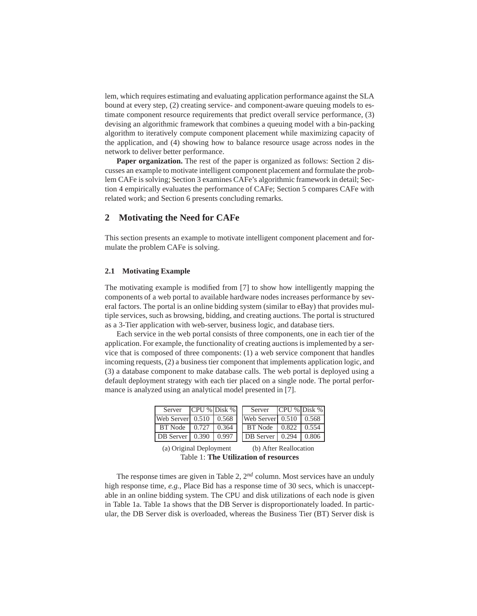lem, which requires estimating and evaluating application performance against the SLA bound at every step, (2) creating service- and component-aware queuing models to estimate component resource requirements that predict overall service performance, (3) devising an algorithmic framework that combines a queuing model with a bin-packing algorithm to iteratively compute component placement while maximizing capacity of the application, and (4) showing how to balance resource usage across nodes in the network to deliver better performance.

**Paper organization.** The rest of the paper is organized as follows: Section 2 discusses an example to motivate intelligent component placement and formulate the problem CAFe is solving; Section 3 examines CAFe's algorithmic framework in detail; Section 4 empirically evaluates the performance of CAFe; Section 5 compares CAFe with related work; and Section 6 presents concluding remarks.

# **2 Motivating the Need for CAFe**

This section presents an example to motivate intelligent component placement and formulate the problem CAFe is solving.

### **2.1 Motivating Example**

The motivating example is modified from [7] to show how intelligently mapping the components of a web portal to available hardware nodes increases performance by several factors. The portal is an online bidding system (similar to eBay) that provides multiple services, such as browsing, bidding, and creating auctions. The portal is structured as a 3-Tier application with web-server, business logic, and database tiers.

Each service in the web portal consists of three components, one in each tier of the application. For example, the functionality of creating auctions is implemented by a service that is composed of three components: (1) a web service component that handles incoming requests, (2) a business tier component that implements application logic, and (3) a database component to make database calls. The web portal is deployed using a default deployment strategy with each tier placed on a single node. The portal performance is analyzed using an analytical model presented in [7].

| Server                         | $CPU$ % Disk % |       | Server                       | $CPU$ % Disk % |       |
|--------------------------------|----------------|-------|------------------------------|----------------|-------|
| Web Server $0.510 \cdot 0.568$ |                |       | Web Server $0.510 \pm 0.568$ |                |       |
| BT Node $\vert 0.727 \vert$    |                | 0.364 | BT Node                      | 0.822          | 0.554 |
| DB Server   0.390              |                | 0.997 | DB Server   0.294            |                | 0.806 |

(a) Original Deployment (b) After Reallocation Table 1: **The Utilization of resources**

The response times are given in Table 2, 2*nd* column. Most services have an unduly high response time, *e.g.*, Place Bid has a response time of 30 secs, which is unacceptable in an online bidding system. The CPU and disk utilizations of each node is given in Table 1a. Table 1a shows that the DB Server is disproportionately loaded. In particular, the DB Server disk is overloaded, whereas the Business Tier (BT) Server disk is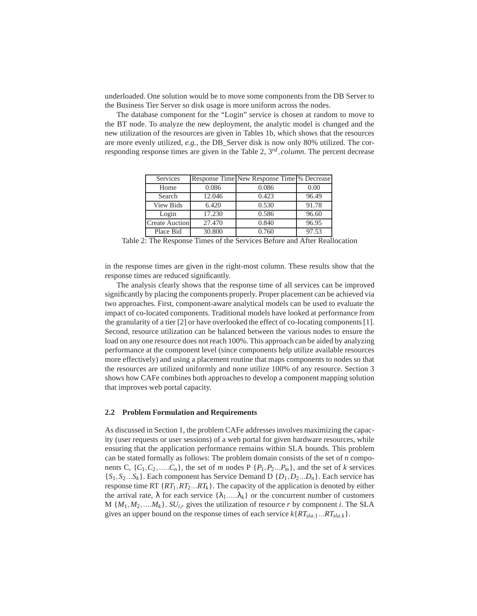underloaded. One solution would be to move some components from the DB Server to the Business Tier Server so disk usage is more uniform across the nodes.

The database component for the "Login" service is chosen at random to move to the BT node. To analyze the new deployment, the analytic model is changed and the new utilization of the resources are given in Tables 1b, which shows that the resources are more evenly utilized, *e.g.*, the DB\_Server disk is now only 80% utilized. The corresponding response times are given in the Table 2, 3*rd* ,*column*. The percent decrease

| Services              |        | Response Time New Response Time \% Decrease |       |
|-----------------------|--------|---------------------------------------------|-------|
| Home                  | 0.086  | 0.086                                       | 0.00  |
| Search                | 12.046 | 0.423                                       | 96.49 |
| <b>View Bids</b>      | 6.420  | 0.530                                       | 91.78 |
| Login                 | 17.230 | 0.586                                       | 96.60 |
| <b>Create Auction</b> | 27.470 | 0.840                                       | 96.95 |
| Place Bid             | 30.800 | 0.760                                       | 97.53 |

Table 2: The Response Times of the Services Before and After Reallocation

in the response times are given in the right-most column. These results show that the response times are reduced significantly.

The analysis clearly shows that the response time of all services can be improved significantly by placing the components properly. Proper placement can be achieved via two approaches. First, component-aware analytical models can be used to evaluate the impact of co-located components. Traditional models have looked at performance from the granularity of a tier [2] or have overlooked the effect of co-locating components [1]. Second, resource utilization can be balanced between the various nodes to ensure the load on any one resource does not reach 100%. This approach can be aided by analyzing performance at the component level (since components help utilize available resources more effectively) and using a placement routine that maps components to nodes so that the resources are utilized uniformly and none utilize 100% of any resource. Section 3 shows how CAFe combines both approaches to develop a component mapping solution that improves web portal capacity.

#### **2.2 Problem Formulation and Requirements**

As discussed in Section 1, the problem CAFe addresses involves maximizing the capacity (user requests or user sessions) of a web portal for given hardware resources, while ensuring that the application performance remains within SLA bounds. This problem can be stated formally as follows: The problem domain consists of the set of *n* components C,  $\{C_1, C_2, \ldots, C_n\}$ , the set of *m* nodes P  $\{P_1, P_2, \ldots, P_m\}$ , and the set of *k* services  ${S_1, S_2...S_k}$ . Each component has Service Demand D  ${D_1, D_2...D_n}$ . Each service has response time RT  $\{RT_1, RT_2...RT_k\}$ . The capacity of the application is denoted by either the arrival rate,  $\lambda$  for each service  $\{\lambda_1,...\lambda_k\}$  or the concurrent number of customers  $M \{M_1, M_2, \ldots, M_k\}$ . *SU<sub>i,r</sub>* gives the utilization of resource *r* by component *i*. The SLA gives an upper bound on the response times of each service  $k\{RT_{sla,1}...RT_{sla,k}\}$ .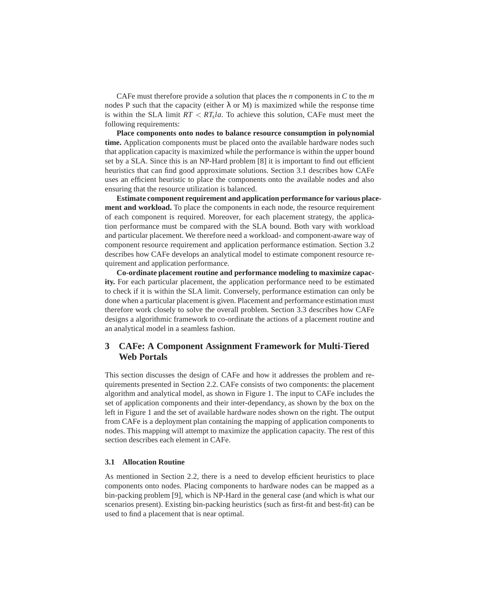CAFe must therefore provide a solution that places the *n* components in *C* to the *m* nodes P such that the capacity (either  $\lambda$  or M) is maximized while the response time is within the SLA limit *RT* < *RT<sup>s</sup> la*. To achieve this solution, CAFe must meet the following requirements:

**Place components onto nodes to balance resource consumption in polynomial time.** Application components must be placed onto the available hardware nodes such that application capacity is maximized while the performance is within the upper bound set by a SLA. Since this is an NP-Hard problem [8] it is important to find out efficient heuristics that can find good approximate solutions. Section 3.1 describes how CAFe uses an efficient heuristic to place the components onto the available nodes and also ensuring that the resource utilization is balanced.

**Estimate component requirement and application performance for various placement and workload.** To place the components in each node, the resource requirement of each component is required. Moreover, for each placement strategy, the application performance must be compared with the SLA bound. Both vary with workload and particular placement. We therefore need a workload- and component-aware way of component resource requirement and application performance estimation. Section 3.2 describes how CAFe develops an analytical model to estimate component resource requirement and application performance.

**Co-ordinate placement routine and performance modeling to maximize capacity.** For each particular placement, the application performance need to be estimated to check if it is within the SLA limit. Conversely, performance estimation can only be done when a particular placement is given. Placement and performance estimation must therefore work closely to solve the overall problem. Section 3.3 describes how CAFe designs a algorithmic framework to co-ordinate the actions of a placement routine and an analytical model in a seamless fashion.

# **3 CAFe: A Component Assignment Framework for Multi-Tiered Web Portals**

This section discusses the design of CAFe and how it addresses the problem and requirements presented in Section 2.2. CAFe consists of two components: the placement algorithm and analytical model, as shown in Figure 1. The input to CAFe includes the set of application components and their inter-dependancy, as shown by the box on the left in Figure 1 and the set of available hardware nodes shown on the right. The output from CAFe is a deployment plan containing the mapping of application components to nodes. This mapping will attempt to maximize the application capacity. The rest of this section describes each element in CAFe.

### **3.1 Allocation Routine**

As mentioned in Section 2.2, there is a need to develop efficient heuristics to place components onto nodes. Placing components to hardware nodes can be mapped as a bin-packing problem [9], which is NP-Hard in the general case (and which is what our scenarios present). Existing bin-packing heuristics (such as first-fit and best-fit) can be used to find a placement that is near optimal.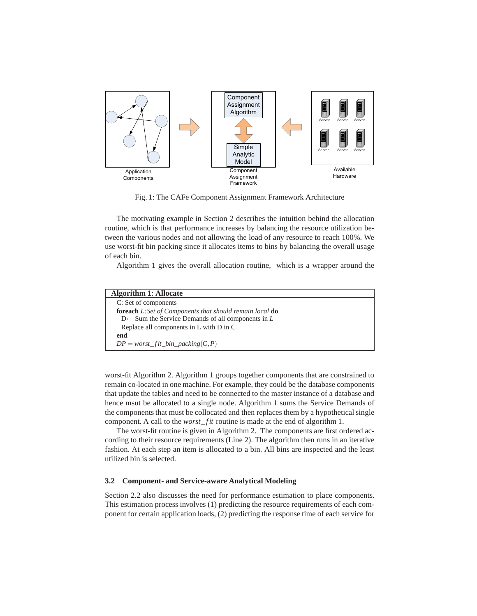

Fig. 1: The CAFe Component Assignment Framework Architecture

The motivating example in Section 2 describes the intuition behind the allocation routine, which is that performance increases by balancing the resource utilization between the various nodes and not allowing the load of any resource to reach 100%. We use worst-fit bin packing since it allocates items to bins by balancing the overall usage of each bin.

Algorithm 1 gives the overall allocation routine, which is a wrapper around the

| <b>Algorithm 1: Allocate</b>                                          |
|-----------------------------------------------------------------------|
| C: Set of components                                                  |
| <b>foreach</b> L:Set of Components that should remain local <b>do</b> |
| Replace all components in L with D in C                               |
| end                                                                   |
| $DP = worst\_fit\_bin\_packing(C, P)$                                 |

worst-fit Algorithm 2. Algorithm 1 groups together components that are constrained to remain co-located in one machine. For example, they could be the database components that update the tables and need to be connected to the master instance of a database and hence msut be allocated to a single node. Algorithm 1 sums the Service Demands of the components that must be collocated and then replaces them by a hypothetical single component. A call to the *worst\_fit* routine is made at the end of algorithm 1.

The worst-fit routine is given in Algorithm 2. The components are first ordered according to their resource requirements (Line 2). The algorithm then runs in an iterative fashion. At each step an item is allocated to a bin. All bins are inspected and the least utilized bin is selected.

### **3.2 Component- and Service-aware Analytical Modeling**

Section 2.2 also discusses the need for performance estimation to place components. This estimation process involves (1) predicting the resource requirements of each component for certain application loads, (2) predicting the response time of each service for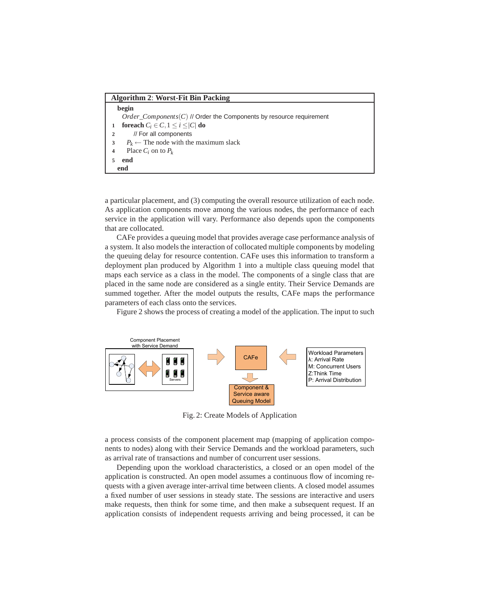### **Algorithm 2**: **Worst-Fit Bin Packing**

|                | begin                                                                         |
|----------------|-------------------------------------------------------------------------------|
|                | <i>Order Components</i> $(C)$ // Order the Components by resource requirement |
|                | foreach $C_i \in C$ , $1 \le i \le  C $ do                                    |
| $\overline{2}$ | // For all components                                                         |
|                | $P_k \leftarrow$ The node with the maximum slack                              |
|                | Place $C_i$ on to $P_k$                                                       |
|                | end                                                                           |
|                | end                                                                           |

a particular placement, and (3) computing the overall resource utilization of each node. As application components move among the various nodes, the performance of each service in the application will vary. Performance also depends upon the components that are collocated.

CAFe provides a queuing model that provides average case performance analysis of a system. It also models the interaction of collocated multiple components by modeling the queuing delay for resource contention. CAFe uses this information to transform a deployment plan produced by Algorithm 1 into a multiple class queuing model that maps each service as a class in the model. The components of a single class that are placed in the same node are considered as a single entity. Their Service Demands are summed together. After the model outputs the results, CAFe maps the performance parameters of each class onto the services.

Figure 2 shows the process of creating a model of the application. The input to such



Fig. 2: Create Models of Application

a process consists of the component placement map (mapping of application components to nodes) along with their Service Demands and the workload parameters, such as arrival rate of transactions and number of concurrent user sessions.

Depending upon the workload characteristics, a closed or an open model of the application is constructed. An open model assumes a continuous flow of incoming requests with a given average inter-arrival time between clients. A closed model assumes a fixed number of user sessions in steady state. The sessions are interactive and users make requests, then think for some time, and then make a subsequent request. If an application consists of independent requests arriving and being processed, it can be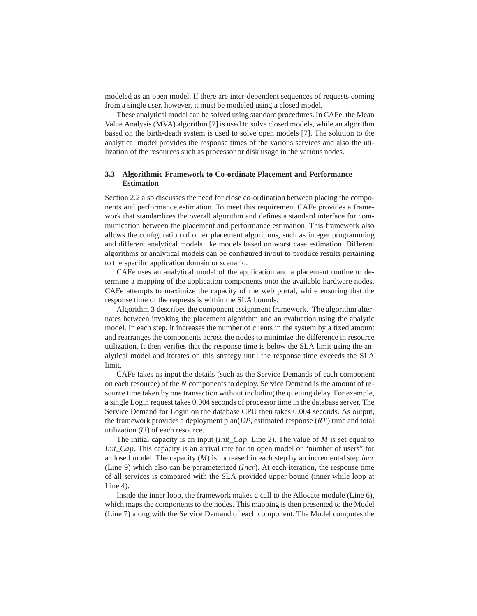modeled as an open model. If there are inter-dependent sequences of requests coming from a single user, however, it must be modeled using a closed model.

These analytical model can be solved using standard procedures. In CAFe, the Mean Value Analysis (MVA) algorithm [7] is used to solve closed models, while an algorithm based on the birth-death system is used to solve open models [7]. The solution to the analytical model provides the response times of the various services and also the utilization of the resources such as processor or disk usage in the various nodes.

## **3.3 Algorithmic Framework to Co-ordinate Placement and Performance Estimation**

Section 2.2 also discusses the need for close co-ordination between placing the components and performance estimation. To meet this requirement CAFe provides a framework that standardizes the overall algorithm and defines a standard interface for communication between the placement and performance estimation. This framework also allows the configuration of other placement algorithms, such as integer programming and different analytical models like models based on worst case estimation. Different algorithms or analytical models can be configured in/out to produce results pertaining to the specific application domain or scenario.

CAFe uses an analytical model of the application and a placement routine to determine a mapping of the application components onto the available hardware nodes. CAFe attempts to maximize the capacity of the web portal, while ensuring that the response time of the requests is within the SLA bounds.

Algorithm 3 describes the component assignment framework. The algorithm alternates between invoking the placement algorithm and an evaluation using the analytic model. In each step, it increases the number of clients in the system by a fixed amount and rearranges the components across the nodes to minimize the difference in resource utilization. It then verifies that the response time is below the SLA limit using the analytical model and iterates on this strategy until the response time exceeds the SLA limit.

CAFe takes as input the details (such as the Service Demands of each component on each resource) of the *N* components to deploy. Service Demand is the amount of resource time taken by one transaction without including the queuing delay. For example, a single Login request takes 0.004 seconds of processor time in the database server. The Service Demand for Login on the database CPU then takes 0.004 seconds. As output, the framework provides a deployment plan(*DP*, estimated response (*RT*) time and total utilization (*U*) of each resource.

The initial capacity is an input (*Init*\_*Cap*, Line 2). The value of *M* is set equal to *Init\_Cap*. This capacity is an arrival rate for an open model or "number of users" for a closed model. The capacity (*M*) is increased in each step by an incremental step *incr* (Line 9) which also can be parameterized (*Incr*). At each iteration, the response time of all services is compared with the SLA provided upper bound (inner while loop at Line 4).

Inside the inner loop, the framework makes a call to the Allocate module (Line 6), which maps the components to the nodes. This mapping is then presented to the Model (Line 7) along with the Service Demand of each component. The Model computes the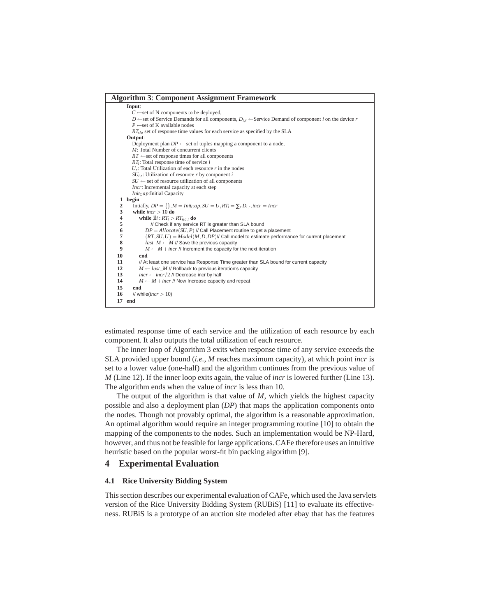|                | <b>Algorithm 3: Component Assignment Framework</b>                                                                               |
|----------------|----------------------------------------------------------------------------------------------------------------------------------|
|                | Input:                                                                                                                           |
|                | $C \leftarrow$ set of N components to be deployed,                                                                               |
|                | D $\leftarrow$ set of Service Demands for all components, $D_{ir} \leftarrow$ Service Demand of component i on the device r      |
|                | $P \leftarrow$ set of K available nodes                                                                                          |
|                | $RT_{sla}$ set of response time values for each service as specified by the SLA                                                  |
|                | Output:                                                                                                                          |
|                | Deployment plan $DP \leftarrow$ set of tuples mapping a component to a node,                                                     |
|                | $M$ : Total Number of concurrent clients                                                                                         |
|                | $RT \leftarrow$ set of response times for all components                                                                         |
|                | $RT_i$ : Total response time of service i                                                                                        |
|                | $U_r$ : Total Utilization of each resource r in the nodes                                                                        |
|                | $SU_{i,r}$ : Utilization of resource r by component i                                                                            |
|                | $SU \leftarrow$ set of resource utilization of all components                                                                    |
|                | <i>Incr</i> : Incremental capacity at each step                                                                                  |
|                | $Init_Cap$ : Initial Capacity                                                                                                    |
|                | 1 begin                                                                                                                          |
| $\overline{2}$ | Initially, $DP = \{\}, M = Int_{C}ap, SU = U, RT_i = \sum_{r} D_{ir}, incr = Incr$                                               |
| 3              | while $incr > 10$ do                                                                                                             |
| 4              | while $\exists i : RT_i > RT_{slai}$ do                                                                                          |
| 5              | // Check if any service RT is greater than SLA bound                                                                             |
| 6              | $DP = Allocate(SU, P)$ // Call Placement routine to get a placement                                                              |
| $\overline{7}$ | $(RT, SU, U) = Model(M, D, DP)$ // Call model to estimate performance for current placement                                      |
| 8<br>9         | $last\_M \leftarrow M$ // Save the previous capacity<br>$M \leftarrow M + incr$ // Increment the capacity for the next iteration |
|                |                                                                                                                                  |
| 10             | end                                                                                                                              |
| 11             | // At least one service has Response Time greater than SLA bound for current capacity                                            |
| 12<br>13       | $M \leftarrow$ last_M // Rollback to previous iteration's capacity                                                               |
| 14             | $incr \leftarrow incr/2$ // Decrease incr by half                                                                                |
|                | $M \leftarrow M + incr$ // Now Increase capacity and repeat                                                                      |
| 15             | end                                                                                                                              |
| 16             | // while( $incr > 10$ )                                                                                                          |
|                | 17 end                                                                                                                           |

estimated response time of each service and the utilization of each resource by each component. It also outputs the total utilization of each resource.

The inner loop of Algorithm 3 exits when response time of any service exceeds the SLA provided upper bound (*i.e.*, *M* reaches maximum capacity), at which point *incr* is set to a lower value (one-half) and the algorithm continues from the previous value of *M* (Line 12). If the inner loop exits again, the value of *incr* is lowered further (Line 13). The algorithm ends when the value of *incr* is less than 10.

The output of the algorithm is that value of *M*, which yields the highest capacity possible and also a deployment plan (*DP*) that maps the application components onto the nodes. Though not provably optimal, the algorithm is a reasonable approximation. An optimal algorithm would require an integer programming routine [10] to obtain the mapping of the components to the nodes. Such an implementation would be NP-Hard, however, and thus not be feasible for large applications. CAFe therefore uses an intuitive heuristic based on the popular worst-fit bin packing algorithm [9].

# **4 Experimental Evaluation**

### **4.1 Rice University Bidding System**

This section describes our experimental evaluation of CAFe, which used the Java servlets version of the Rice University Bidding System (RUBiS) [11] to evaluate its effectiveness. RUBiS is a prototype of an auction site modeled after ebay that has the features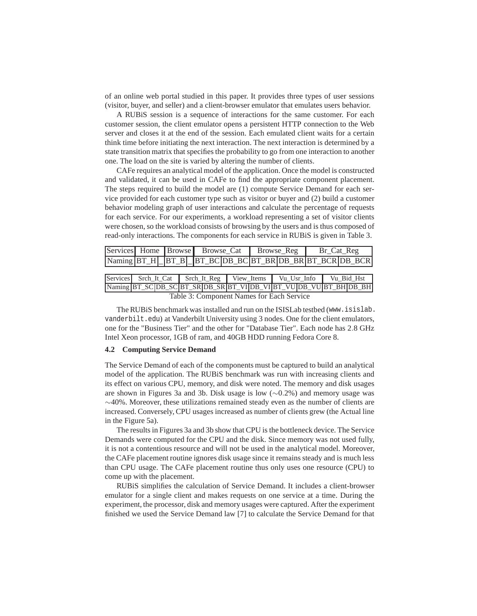of an online web portal studied in this paper. It provides three types of user sessions (visitor, buyer, and seller) and a client-browser emulator that emulates users behavior.

A RUBiS session is a sequence of interactions for the same customer. For each customer session, the client emulator opens a persistent HTTP connection to the Web server and closes it at the end of the session. Each emulated client waits for a certain think time before initiating the next interaction. The next interaction is determined by a state transition matrix that specifies the probability to go from one interaction to another one. The load on the site is varied by altering the number of clients.

CAFe requires an analytical model of the application. Once the model is constructed and validated, it can be used in CAFe to find the appropriate component placement. The steps required to build the model are (1) compute Service Demand for each service provided for each customer type such as visitor or buyer and (2) build a customer behavior modeling graph of user interactions and calculate the percentage of requests for each service. For our experiments, a workload representing a set of visitor clients were chosen, so the workload consists of browsing by the users and is thus composed of read-only interactions. The components for each service in RUBiS is given in Table 3.

|                                           |  |  |  |  |  | Services Home Browse Browse Cat |  | $Browse_{Reg}$ |                                                                          | Br_Cat_Reg |  |
|-------------------------------------------|--|--|--|--|--|---------------------------------|--|----------------|--------------------------------------------------------------------------|------------|--|
|                                           |  |  |  |  |  |                                 |  |                | Naming BT_H   BT_B   BT_BC DB_BC BT_BR DB_BR BT_BCR DB_BCR               |            |  |
|                                           |  |  |  |  |  |                                 |  |                |                                                                          |            |  |
|                                           |  |  |  |  |  |                                 |  |                | Services Sech It Cat Sech It Reg   View Items   Vu Usr Info   Vu Bid Hst |            |  |
|                                           |  |  |  |  |  |                                 |  |                | Naming BT_SC DB_SC BT_SR DB_SR BT_VI DB_VI BT_VU DB_VU BT_BH DB_BH       |            |  |
| Table 3: Component Names for Each Service |  |  |  |  |  |                                 |  |                |                                                                          |            |  |

The RUBiS benchmark was installed and run on the ISISLab testbed (www.isislab. vanderbilt.edu) at Vanderbilt University using 3 nodes. One for the client emulators, one for the "Business Tier" and the other for "Database Tier". Each node has 2.8 GHz Intel Xeon processor, 1GB of ram, and 40GB HDD running Fedora Core 8.

### **4.2 Computing Service Demand**

The Service Demand of each of the components must be captured to build an analytical model of the application. The RUBiS benchmark was run with increasing clients and its effect on various CPU, memory, and disk were noted. The memory and disk usages are shown in Figures 3a and 3b. Disk usage is low (∼0.2%) and memory usage was ∼40%. Moreover, these utilizations remained steady even as the number of clients are increased. Conversely, CPU usages increased as number of clients grew (the Actual line in the Figure 5a).

The results in Figures 3a and 3b show that CPU is the bottleneck device. The Service Demands were computed for the CPU and the disk. Since memory was not used fully, it is not a contentious resource and will not be used in the analytical model. Moreover, the CAFe placement routine ignores disk usage since it remains steady and is much less than CPU usage. The CAFe placement routine thus only uses one resource (CPU) to come up with the placement.

RUBiS simplifies the calculation of Service Demand. It includes a client-browser emulator for a single client and makes requests on one service at a time. During the experiment, the processor, disk and memory usages were captured. After the experiment finished we used the Service Demand law [7] to calculate the Service Demand for that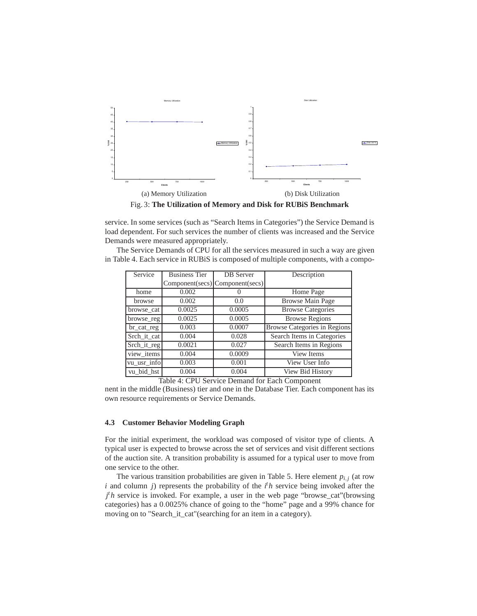

service. In some services (such as "Search Items in Categories") the Service Demand is load dependent. For such services the number of clients was increased and the Service Demands were measured appropriately.

The Service Demands of CPU for all the services measured in such a way are given in Table 4. Each service in RUBiS is composed of multiple components, with a compo-

| Service                   | <b>Business Tier</b> | <b>DB</b> Server                | Description                         |
|---------------------------|----------------------|---------------------------------|-------------------------------------|
|                           |                      | Component(secs) Component(secs) |                                     |
| home                      | 0.002                |                                 | Home Page                           |
| browse                    | 0.002                | 0.0                             | <b>Browse Main Page</b>             |
| browse_cat                | 0.0025               | 0.0005                          | <b>Browse Categories</b>            |
| browse_reg                | 0.0025               | 0.0005                          | <b>Browse Regions</b>               |
| br_cat_reg                | 0.003                | 0.0007                          | <b>Browse Categories in Regions</b> |
| Srch it cat               | 0.004                | 0.028                           | Search Items in Categories          |
| Srch it reg               | 0.0021               | 0.027                           | Search Items in Regions             |
| $\overline{view}\_$ items | 0.004                | 0.0009                          | <b>View Items</b>                   |
| vu_usr_info               | 0.003                | 0.001                           | View User Info                      |
| vu bid hst                | 0.004                | 0.004                           | View Bid History                    |

Table 4: CPU Service Demand for Each Component

nent in the middle (Business) tier and one in the Database Tier. Each component has its own resource requirements or Service Demands.

### **4.3 Customer Behavior Modeling Graph**

For the initial experiment, the workload was composed of visitor type of clients. A typical user is expected to browse across the set of services and visit different sections of the auction site. A transition probability is assumed for a typical user to move from one service to the other.

The various transition probabilities are given in Table 5. Here element  $p_{i,j}$  (at row *i* and column *j*) represents the probability of the *i <sup>t</sup>h* service being invoked after the *j<sup>t</sup>h* service is invoked. For example, a user in the web page "browse\_cat"(browsing categories) has a 0.0025% chance of going to the "home" page and a 99% chance for moving on to "Search\_it\_cat"(searching for an item in a category).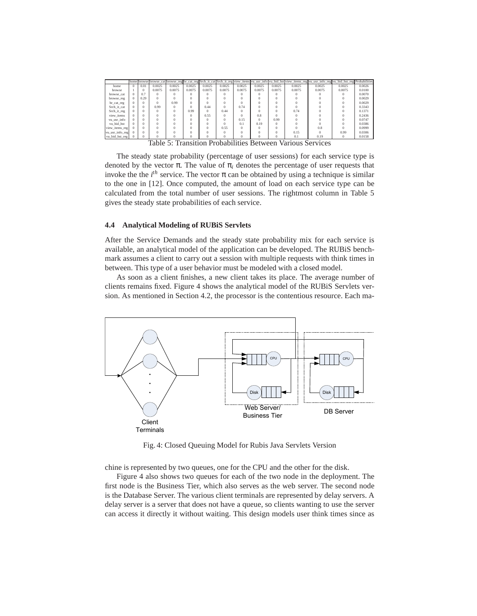|                 |          |          |        |          |          |          |          |          |          |          |        | home browse browse_cat browse_reg br_cat_reg Srch_it_cat Srch_it_reg view_items vu_usr_info vu_bid_hst view_items_reg vu_usr_info_reg vu_bid_hst_reg Probabilities |          |        |
|-----------------|----------|----------|--------|----------|----------|----------|----------|----------|----------|----------|--------|--------------------------------------------------------------------------------------------------------------------------------------------------------------------|----------|--------|
| home            | $\Omega$ | 0.01     | 0.0025 | 0.0025   | 0.0025   | 0.0025   | 0.0025   | 0.0025   | 0.0025   | 0.0025   | 0.0025 | 0.0025                                                                                                                                                             | 0.0025   | 0.0026 |
| browse          |          | $\Omega$ | 0.0075 | 0.0075   | 0.0075   | 0.0075   | 0.0075   | 0.0075   | 0.0075   | 0.0075   | 0.0075 | 0.0075                                                                                                                                                             | 0.0075   | 0.0100 |
| browse cat      | $\Omega$ | 0.7      |        |          | $\Omega$ |          | $\Omega$ | $\Omega$ |          | $\Omega$ |        |                                                                                                                                                                    |          | 0.0070 |
| browse reg      | $\Omega$ | 0.29     |        | $\Omega$ | $\Omega$ |          | $\Omega$ | $\Omega$ | $\Omega$ | 0        |        |                                                                                                                                                                    |          | 0.0029 |
| br_cat_reg      | $\Omega$ |          |        | 0.99     | $\Omega$ |          |          | $\Omega$ |          | $\Omega$ |        |                                                                                                                                                                    |          | 0.0029 |
| Srch it cat     | $\Omega$ | $\Omega$ | 0.99   | $\Omega$ | $\Omega$ | 0.44     | $\Omega$ | 0.74     |          | $\Omega$ |        |                                                                                                                                                                    |          | 0.3343 |
| Srch it reg     | $\Omega$ |          |        | $\Omega$ | 0.99     | $\Omega$ | 0.44     | $\Omega$ | $\Omega$ | $\Omega$ | 0.74   |                                                                                                                                                                    |          | 0.1371 |
| view items      | $\Omega$ | $\Omega$ |        |          | $\Omega$ | 0.55     | $\Omega$ | $\Omega$ | 0.8      | $\Omega$ |        |                                                                                                                                                                    |          | 0.2436 |
| vu_usr_info     | $\Omega$ | $\Omega$ |        | $\Omega$ | $\Omega$ |          | $\Omega$ | 0.15     | $\Omega$ | 0.99     |        |                                                                                                                                                                    |          | 0.0747 |
| vu bid hst      | $\Omega$ | $\Omega$ |        |          | O        |          | $\Omega$ | 0.1      | 0.19     | $\Omega$ |        |                                                                                                                                                                    |          | 0.0386 |
| view_items_reg  |          | $\Omega$ |        | $\Omega$ | $\Omega$ |          | 0.55     | $\Omega$ | $\Omega$ | O        | Ω      | 0.8                                                                                                                                                                | o        | 0.0999 |
| vu usr info reg |          | $\Omega$ |        |          | $\Omega$ |          | $\Omega$ | $\Omega$ | $\Omega$ | $\Omega$ | 0.15   | $\Omega$                                                                                                                                                           | 0.99     | 0.0306 |
| vu_bid_hst_reg  |          |          |        |          | $\Omega$ |          | $\Omega$ | $\Omega$ | $\Omega$ | $\Omega$ | 0.1    | 0.19                                                                                                                                                               | $\Omega$ | 0.0158 |

The steady state probability (percentage of user sessions) for each service type is denoted by the vector  $\pi$ . The value of  $\pi$ <sub>*i*</sub> denotes the percentage of user requests that invoke the the  $i<sup>th</sup>$  service. The vector  $\pi$  can be obtained by using a technique is similar to the one in [12]. Once computed, the amount of load on each service type can be calculated from the total number of user sessions. The rightmost column in Table 5 gives the steady state probabilities of each service.

#### **4.4 Analytical Modeling of RUBiS Servlets**

After the Service Demands and the steady state probability mix for each service is available, an analytical model of the application can be developed. The RUBiS benchmark assumes a client to carry out a session with multiple requests with think times in between. This type of a user behavior must be modeled with a closed model.

As soon as a client finishes, a new client takes its place. The average number of clients remains fixed. Figure 4 shows the analytical model of the RUBiS Servlets version. As mentioned in Section 4.2, the processor is the contentious resource. Each ma-



Fig. 4: Closed Queuing Model for Rubis Java Servlets Version

chine is represented by two queues, one for the CPU and the other for the disk.

Figure 4 also shows two queues for each of the two node in the deployment. The first node is the Business Tier, which also serves as the web server. The second node is the Database Server. The various client terminals are represented by delay servers. A delay server is a server that does not have a queue, so clients wanting to use the server can access it directly it without waiting. This design models user think times since as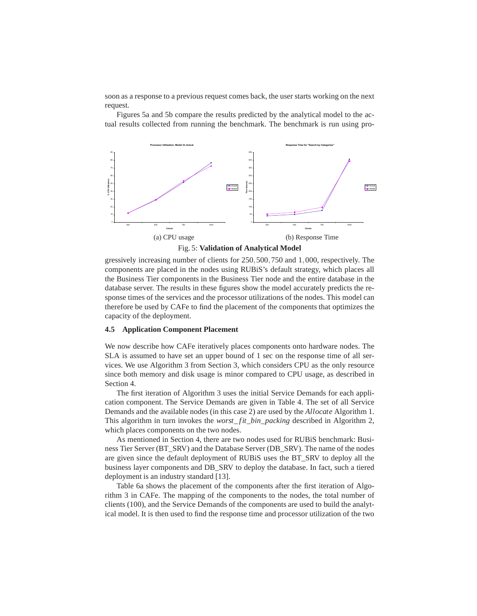soon as a response to a previous request comes back, the user starts working on the next request.

Figures 5a and 5b compare the results predicted by the analytical model to the actual results collected from running the benchmark. The benchmark is run using pro-





gressively increasing number of clients for 250,500,750 and 1,000, respectively. The components are placed in the nodes using RUBiS's default strategy, which places all the Business Tier components in the Business Tier node and the entire database in the database server. The results in these figures show the model accurately predicts the response times of the services and the processor utilizations of the nodes. This model can therefore be used by CAFe to find the placement of the components that optimizes the capacity of the deployment.

### **4.5 Application Component Placement**

We now describe how CAFe iteratively places components onto hardware nodes. The SLA is assumed to have set an upper bound of 1 sec on the response time of all services. We use Algorithm 3 from Section 3, which considers CPU as the only resource since both memory and disk usage is minor compared to CPU usage, as described in Section 4.

The first iteration of Algorithm 3 uses the initial Service Demands for each application component. The Service Demands are given in Table 4. The set of all Service Demands and the available nodes (in this case 2) are used by the *Allocate* Algorithm 1. This algorithm in turn invokes the *worst*\_ *fit*\_*bin*\_*packing* described in Algorithm 2, which places components on the two nodes.

As mentioned in Section 4, there are two nodes used for RUBiS benchmark: Business Tier Server (BT\_SRV) and the Database Server (DB\_SRV). The name of the nodes are given since the default deployment of RUBiS uses the BT\_SRV to deploy all the business layer components and DB\_SRV to deploy the database. In fact, such a tiered deployment is an industry standard [13].

Table 6a shows the placement of the components after the first iteration of Algorithm 3 in CAFe. The mapping of the components to the nodes, the total number of clients (100), and the Service Demands of the components are used to build the analytical model. It is then used to find the response time and processor utilization of the two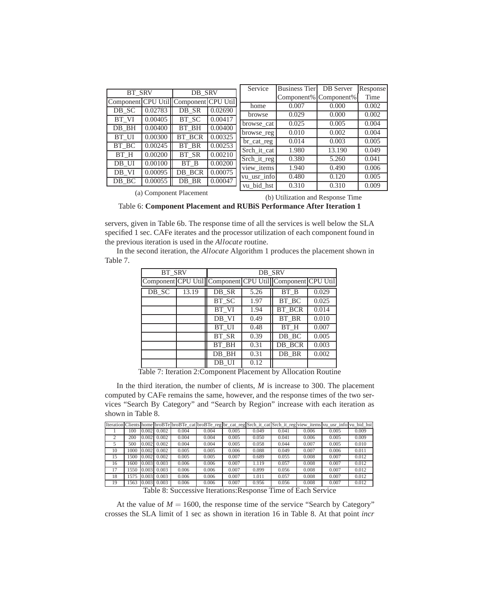|               |         |                                       |         | Service                   | <b>Business Tier</b> | DB Server             | Response |
|---------------|---------|---------------------------------------|---------|---------------------------|----------------------|-----------------------|----------|
| <b>BT SRV</b> |         | DB SRV                                |         |                           |                      | Component% Component% | Time     |
|               |         | Component CPU Util Component CPU Util |         | home                      | 0.007                | 0.000                 | 0.002    |
| DB SC         | 0.02783 | DB SR                                 | 0.02690 |                           | 0.029                | 0.000                 | 0.002    |
| BT VI         | 0.00405 | BT SC                                 | 0.00417 | browse                    |                      |                       |          |
| DB BH         | 0.00400 | BT BH                                 | 0.00400 | browse cat                | 0.025                | 0.005                 | 0.004    |
|               |         |                                       |         | browse_reg                | 0.010                | 0.002                 | 0.004    |
| BT UI         | 0.00300 | BT BCR                                | 0.00325 | br_cat_reg                | 0.014                | 0.003                 | 0.005    |
| BT BC         | 0.00245 | BT BR                                 | 0.00253 | Srch it cat               | 1.980                | 13.190                | 0.049    |
| BT H          | 0.00200 | BT SR                                 | 0.00210 |                           |                      |                       |          |
| DB UI         | 0.00100 | BT B                                  | 0.00200 | Srch it reg               | 0.380                | 5.260                 | 0.041    |
|               |         |                                       |         | $\overline{view}\_$ items | 1.940                | 0.490                 | 0.006    |
| DB VI         | 0.00095 | DB BCR                                | 0.00075 | vu usr info               | 0.480                | 0.120                 | 0.005    |
| DB_BC         | 0.00055 | DB_BR                                 | 0.00047 | vu bid hst                | 0.310                | 0.310                 | 0.009    |
|               |         |                                       |         |                           |                      |                       |          |

(a) Component Placement

(b) Utilization and Response Time

Table 6: **Component Placement and RUBiS Performance After Iteration 1**

servers, given in Table 6b. The response time of all the services is well below the SLA specified 1 sec. CAFe iterates and the processor utilization of each component found in the previous iteration is used in the *Allocate* routine.

In the second iteration, the *Allocate* Algorithm 1 produces the placement shown in Table 7.

| <b>BT SRV</b> |       |       |      | DB SRV                                                   |       |
|---------------|-------|-------|------|----------------------------------------------------------|-------|
|               |       |       |      | Component CPU Util Component CPU Util Component CPU Util |       |
| DB SC         | 13.19 | DB SR | 5.26 | BT B                                                     | 0.029 |
|               |       | BT SC | 1.97 | BT BC                                                    | 0.025 |
|               |       | BT VI | 1.94 | <b>BT BCR</b>                                            | 0.014 |
|               |       | DB VI | 0.49 | BT BR                                                    | 0.010 |
|               |       | BT UI | 0.48 | BT H                                                     | 0.007 |
|               |       | BT SR | 0.39 | DB BC                                                    | 0.005 |
|               |       |       | 0.31 | DB BCR                                                   | 0.003 |
|               |       | DB_BH | 0.31 | DB BR                                                    | 0.002 |
|               |       | DB UI | 0.12 |                                                          |       |

Table 7: Iteration 2:Component Placement by Allocation Routine

In the third iteration, the number of clients, *M* is increase to 300. The placement computed by CAFe remains the same, however, and the response times of the two services "Search By Category" and "Search by Region" increase with each iteration as shown in Table 8.

|                |     |       |       |       |       |                                            |       |                           |       | Iteration Clients home broBTe broBTe_cat broBTe_reg br_cat_reg Srch_it_cat Srch_it_reg view_items vu_usr_info vu_bid_hst |       |
|----------------|-----|-------|-------|-------|-------|--------------------------------------------|-------|---------------------------|-------|--------------------------------------------------------------------------------------------------------------------------|-------|
|                | 100 | 0.002 | 0.002 | 0.004 | 0.004 | 0.005                                      | 0.049 | 0.041                     | 0.006 | 0.005                                                                                                                    | 0.009 |
| $\overline{c}$ | 200 | 0.002 | 0.002 | 0.004 | 0.004 | 0.005                                      | 0.050 | 0.041                     | 0.006 | 0.005                                                                                                                    | 0.009 |
|                | 500 | 0.002 | 0.002 | 0.004 | 0.004 | 0.005                                      | 0.058 | 0.044                     | 0.007 | 0.005                                                                                                                    | 0.010 |
| 10             | 000 | 0.002 | 0.002 | 0.005 | 0.005 | 0.006                                      | 0.088 | 0.049                     | 0.007 | 0.006                                                                                                                    | 0.011 |
| 15             | 500 | 0.002 | 0.002 | 0.005 | 0.005 | 0.007                                      | 0.689 | 0.055                     | 0.008 | 0.007                                                                                                                    | 0.012 |
| 16             | 600 | 0.003 | 0.003 | 0.006 | 0.006 | 0.007                                      | 1.119 | 0.057                     | 0.008 | 0.007                                                                                                                    | 0.012 |
| 17             | 550 | 0.003 | 0.003 | 0.006 | 0.006 | 0.007                                      | 0.899 | 0.056                     | 0.008 | 0.007                                                                                                                    | 0.012 |
| 18             | 575 | 0.003 | 0.003 | 0.006 | 0.006 | 0.007                                      | 1.011 | 0.057                     | 0.008 | 0.007                                                                                                                    | 0.012 |
| 19             | 563 | 0.003 | 0.003 | 0.006 | 0.006 | 0.007                                      | 0.956 | 0.056                     | 0.008 | 0.007                                                                                                                    | 0.012 |
|                |     |       | T1100 |       |       | $\mathbf{r}_i$ is the state $\mathbf{r}_i$ |       | $T''$ $\alpha T$ $\alpha$ |       |                                                                                                                          |       |

Table 8: Successive Iterations:Response Time of Each Service

At the value of  $M = 1600$ , the response time of the service "Search by Category" crosses the SLA limit of 1 sec as shown in iteration 16 in Table 8. At that point *incr*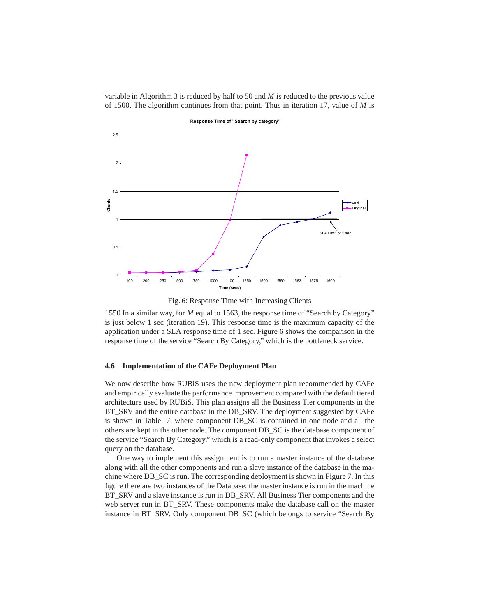variable in Algorithm 3 is reduced by half to 50 and *M* is reduced to the previous value of 1500. The algorithm continues from that point. Thus in iteration 17, value of *M* is



**Response Time of "Search by category"**

Fig. 6: Response Time with Increasing Clients

1550 In a similar way, for *M* equal to 1563, the response time of "Search by Category" is just below 1 sec (iteration 19). This response time is the maximum capacity of the application under a SLA response time of 1 sec. Figure 6 shows the comparison in the response time of the service "Search By Category," which is the bottleneck service.

#### **4.6 Implementation of the CAFe Deployment Plan**

We now describe how RUBiS uses the new deployment plan recommended by CAFe and empirically evaluate the performance improvement compared with the default tiered architecture used by RUBiS. This plan assigns all the Business Tier components in the BT\_SRV and the entire database in the DB\_SRV. The deployment suggested by CAFe is shown in Table 7, where component DB\_SC is contained in one node and all the others are kept in the other node. The component DB\_SC is the database component of the service "Search By Category," which is a read-only component that invokes a select query on the database.

One way to implement this assignment is to run a master instance of the database along with all the other components and run a slave instance of the database in the machine where DB\_SC is run. The corresponding deployment is shown in Figure 7. In this figure there are two instances of the Database: the master instance is run in the machine BT\_SRV and a slave instance is run in DB\_SRV. All Business Tier components and the web server run in BT\_SRV. These components make the database call on the master instance in BT\_SRV. Only component DB\_SC (which belongs to service "Search By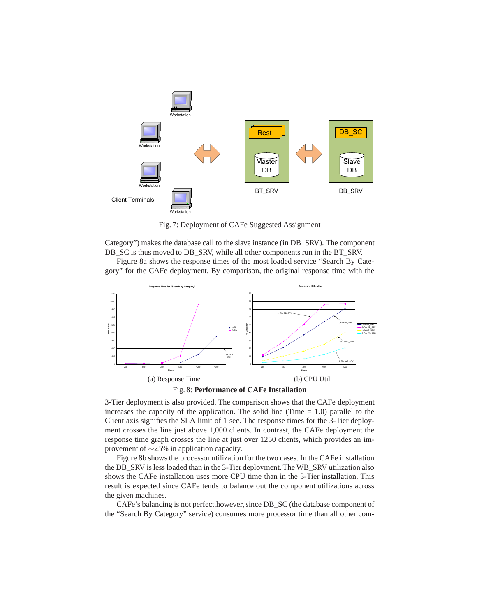

Fig. 7: Deployment of CAFe Suggested Assignment

Category") makes the database call to the slave instance (in DB\_SRV). The component DB\_SC is thus moved to DB\_SRV, while all other components run in the BT\_SRV.

Figure 8a shows the response times of the most loaded service "Search By Category" for the CAFe deployment. By comparison, the original response time with the



Fig. 8: **Performance of CAFe Installation**

3-Tier deployment is also provided. The comparison shows that the CAFe deployment increases the capacity of the application. The solid line (Time  $= 1.0$ ) parallel to the Client axis signifies the SLA limit of 1 sec. The response times for the 3-Tier deployment crosses the line just above 1,000 clients. In contrast, the CAFe deployment the response time graph crosses the line at just over 1250 clients, which provides an improvement of ∼25% in application capacity.

Figure 8b shows the processor utilization for the two cases. In the CAFe installation the DB\_SRV is less loaded than in the 3-Tier deployment. The WB\_SRV utilization also shows the CAFe installation uses more CPU time than in the 3-Tier installation. This result is expected since CAFe tends to balance out the component utilizations across the given machines.

CAFe's balancing is not perfect,however, since DB\_SC (the database component of the "Search By Category" service) consumes more processor time than all other com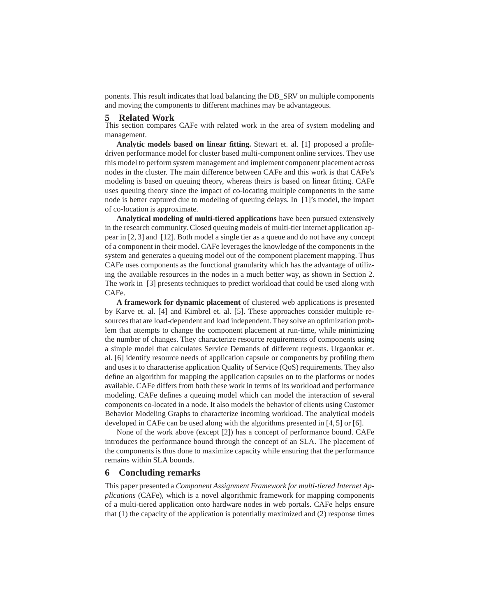ponents. This result indicates that load balancing the DB\_SRV on multiple components and moving the components to different machines may be advantageous.

#### **5 Related Work**

This section compares CAFe with related work in the area of system modeling and management.

**Analytic models based on linear fitting.** Stewart et. al. [1] proposed a profiledriven performance model for cluster based multi-component online services. They use this model to perform system management and implement component placement across nodes in the cluster. The main difference between CAFe and this work is that CAFe's modeling is based on queuing theory, whereas theirs is based on linear fitting. CAFe uses queuing theory since the impact of co-locating multiple components in the same node is better captured due to modeling of queuing delays. In [1]'s model, the impact of co-location is approximate.

**Analytical modeling of multi-tiered applications** have been pursued extensively in the research community. Closed queuing models of multi-tier internet application appear in [2, 3] and [12]. Both model a single tier as a queue and do not have any concept of a component in their model. CAFe leverages the knowledge of the components in the system and generates a queuing model out of the component placement mapping. Thus CAFe uses components as the functional granularity which has the advantage of utilizing the available resources in the nodes in a much better way, as shown in Section 2. The work in [3] presents techniques to predict workload that could be used along with CAFe.

**A framework for dynamic placement** of clustered web applications is presented by Karve et. al. [4] and Kimbrel et. al. [5]. These approaches consider multiple resources that are load-dependent and load independent. They solve an optimization problem that attempts to change the component placement at run-time, while minimizing the number of changes. They characterize resource requirements of components using a simple model that calculates Service Demands of different requests. Urgaonkar et. al. [6] identify resource needs of application capsule or components by profiling them and uses it to characterise application Quality of Service (QoS) requirements. They also define an algorithm for mapping the application capsules on to the platforms or nodes available. CAFe differs from both these work in terms of its workload and performance modeling. CAFe defines a queuing model which can model the interaction of several components co-located in a node. It also models the behavior of clients using Customer Behavior Modeling Graphs to characterize incoming workload. The analytical models developed in CAFe can be used along with the algorithms presented in [4, 5] or [6].

None of the work above (except [2]) has a concept of performance bound. CAFe introduces the performance bound through the concept of an SLA. The placement of the components is thus done to maximize capacity while ensuring that the performance remains within SLA bounds.

# **6 Concluding remarks**

This paper presented a *Component Assignment Framework for multi-tiered Internet Applications* (CAFe), which is a novel algorithmic framework for mapping components of a multi-tiered application onto hardware nodes in web portals. CAFe helps ensure that (1) the capacity of the application is potentially maximized and (2) response times